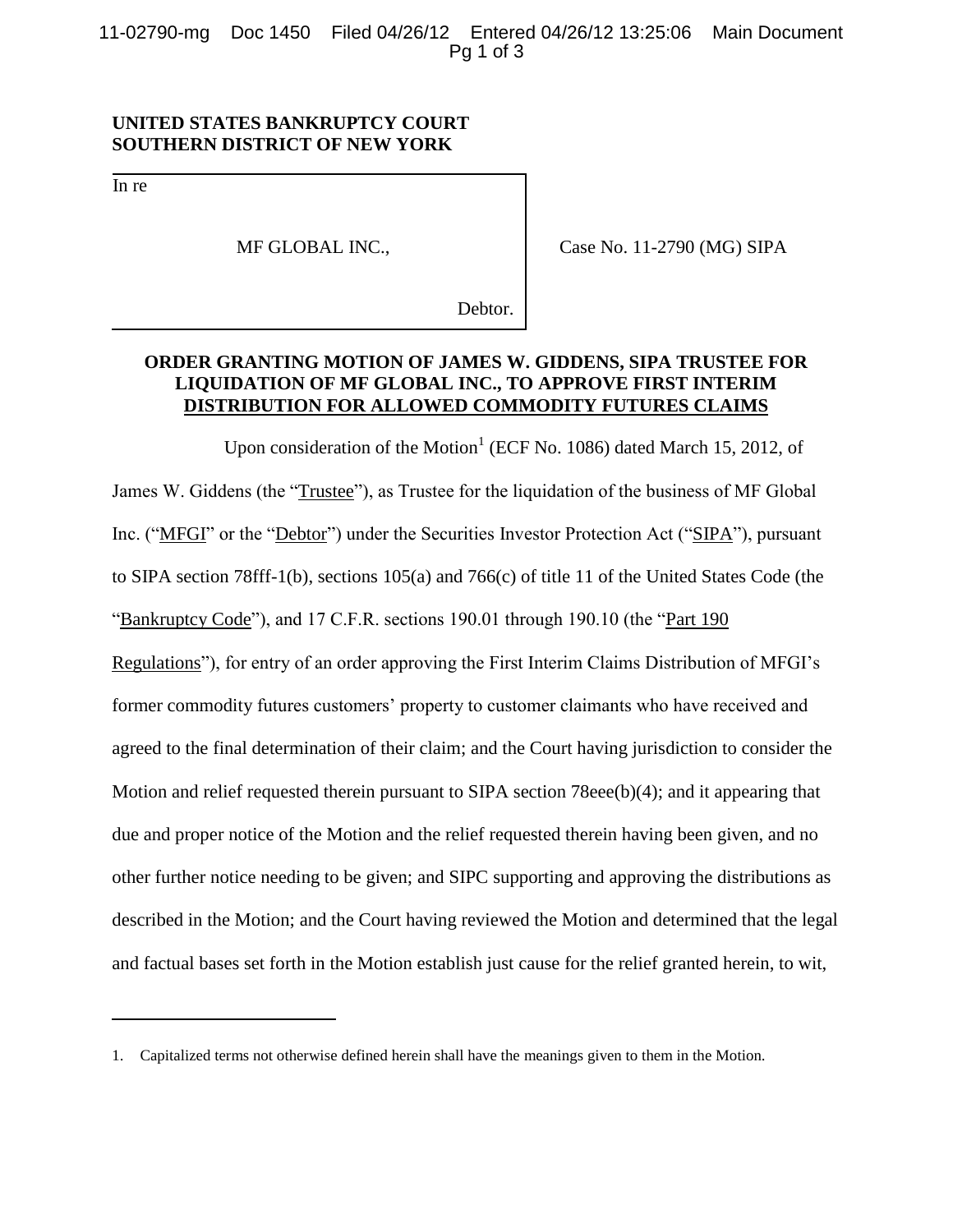11-02790-mg Doc 1450 Filed 04/26/12 Entered 04/26/12 13:25:06 Main Document Pg 1 of 3

## **UNITED STATES BANKRUPTCY COURT SOUTHERN DISTRICT OF NEW YORK**

In re

 $\overline{a}$ 

MF GLOBAL INC.,

Case No. 11-2790 (MG) SIPA

Debtor.

## **ORDER GRANTING MOTION OF JAMES W. GIDDENS, SIPA TRUSTEE FOR LIQUIDATION OF MF GLOBAL INC., TO APPROVE FIRST INTERIM DISTRIBUTION FOR ALLOWED COMMODITY FUTURES CLAIMS**

Upon consideration of the Motion<sup>1</sup> (ECF No. 1086) dated March 15, 2012, of James W. Giddens (the "Trustee"), as Trustee for the liquidation of the business of MF Global Inc. ("MFGI" or the "Debtor") under the Securities Investor Protection Act ("SIPA"), pursuant to SIPA section 78fff-1(b), sections 105(a) and 766(c) of title 11 of the United States Code (the "Bankruptcy Code"), and 17 C.F.R. sections 190.01 through 190.10 (the "Part 190 Regulations"), for entry of an order approving the First Interim Claims Distribution of MFGI's former commodity futures customers' property to customer claimants who have received and agreed to the final determination of their claim; and the Court having jurisdiction to consider the Motion and relief requested therein pursuant to SIPA section 78eee(b)(4); and it appearing that due and proper notice of the Motion and the relief requested therein having been given, and no other further notice needing to be given; and SIPC supporting and approving the distributions as described in the Motion; and the Court having reviewed the Motion and determined that the legal and factual bases set forth in the Motion establish just cause for the relief granted herein, to wit,

<sup>1.</sup> Capitalized terms not otherwise defined herein shall have the meanings given to them in the Motion.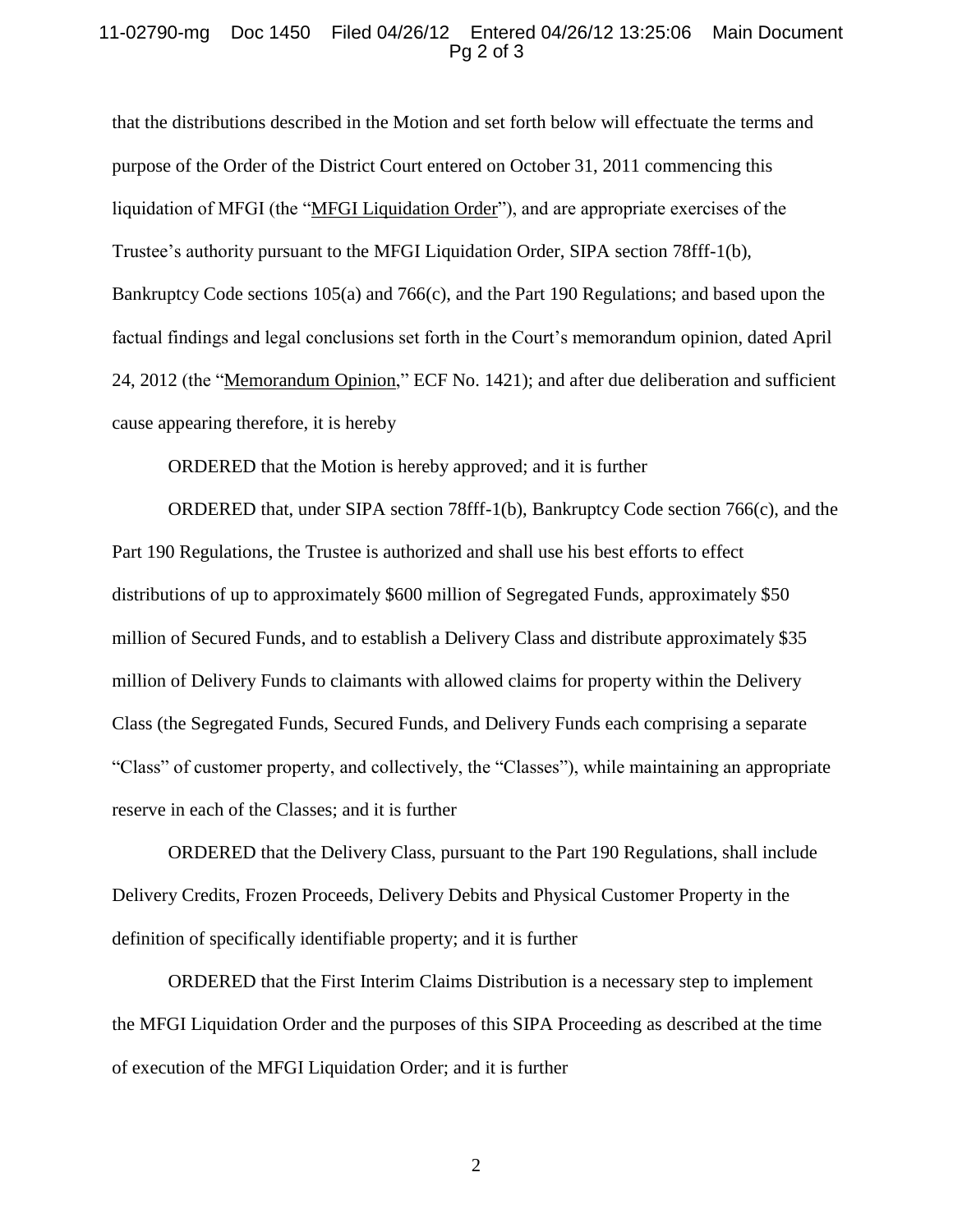## 11-02790-mg Doc 1450 Filed 04/26/12 Entered 04/26/12 13:25:06 Main Document Pg 2 of 3

that the distributions described in the Motion and set forth below will effectuate the terms and purpose of the Order of the District Court entered on October 31, 2011 commencing this liquidation of MFGI (the "MFGI Liquidation Order"), and are appropriate exercises of the Trustee's authority pursuant to the MFGI Liquidation Order, SIPA section 78fff-1(b), Bankruptcy Code sections 105(a) and 766(c), and the Part 190 Regulations; and based upon the factual findings and legal conclusions set forth in the Court's memorandum opinion, dated April 24, 2012 (the "Memorandum Opinion," ECF No. 1421); and after due deliberation and sufficient cause appearing therefore, it is hereby

ORDERED that the Motion is hereby approved; and it is further

ORDERED that, under SIPA section 78fff-1(b), Bankruptcy Code section 766(c), and the Part 190 Regulations, the Trustee is authorized and shall use his best efforts to effect distributions of up to approximately \$600 million of Segregated Funds, approximately \$50 million of Secured Funds, and to establish a Delivery Class and distribute approximately \$35 million of Delivery Funds to claimants with allowed claims for property within the Delivery Class (the Segregated Funds, Secured Funds, and Delivery Funds each comprising a separate "Class" of customer property, and collectively, the "Classes"), while maintaining an appropriate reserve in each of the Classes; and it is further

ORDERED that the Delivery Class, pursuant to the Part 190 Regulations, shall include Delivery Credits, Frozen Proceeds, Delivery Debits and Physical Customer Property in the definition of specifically identifiable property; and it is further

ORDERED that the First Interim Claims Distribution is a necessary step to implement the MFGI Liquidation Order and the purposes of this SIPA Proceeding as described at the time of execution of the MFGI Liquidation Order; and it is further

2